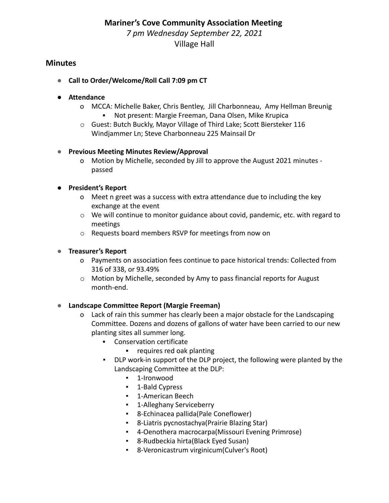#### **Mariner's Cove Community Association Meeting**

*7 pm Wednesday September 22, 2021* Village Hall

## **Minutes**

- **● Call to Order/Welcome/Roll Call 7:09 pm CT**
- **● Attendance**
	- o MCCA: Michelle Baker, Chris Bentley, Jill Charbonneau, Amy Hellman Breunig ▪ Not present: Margie Freeman, Dana Olsen, Mike Krupica
	- o Guest: Butch Buckly, Mayor Village of Third Lake; Scott Biersteker 116 Windjammer Ln; Steve Charbonneau 225 Mainsail Dr

### **● Previous Meeting Minutes Review/Approval**

o Motion by Michelle, seconded by Jill to approve the August 2021 minutes passed

### **● President's Report**

- o Meet n greet was a success with extra attendance due to including the key exchange at the event
- $\circ$  We will continue to monitor guidance about covid, pandemic, etc. with regard to meetings
- o Requests board members RSVP for meetings from now on

### **● Treasurer's Report**

- o Payments on association fees continue to pace historical trends: Collected from 316 of 338, or 93.49%
- $\circ$  Motion by Michelle, seconded by Amy to pass financial reports for August month-end.

#### **● Landscape Committee Report (Margie Freeman)**

- o Lack of rain this summer has clearly been a major obstacle for the Landscaping Committee. Dozens and dozens of gallons of water have been carried to our new planting sites all summer long.
	- Conservation certificate
		- requires red oak planting
	- DLP work-in support of the DLP project, the following were planted by the Landscaping Committee at the DLP:
		- 1-Ironwood
		- 1-Bald Cypress
		- **•** 1-American Beech
		- **•** 1-Alleghany Serviceberry
		- 8-Echinacea pallida(Pale Coneflower)
		- 8-Liatris pycnostachya(Prairie Blazing Star)
		- 4-Oenothera macrocarpa(Missouri Evening Primrose)
		- 8-Rudbeckia hirta(Black Eyed Susan)
		- 8-Veronicastrum virginicum(Culver's Root)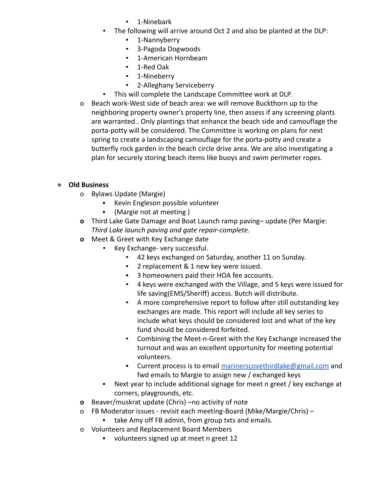- 1-Ninebark
- The following will arrive around Oct 2 and also be planted at the DLP:
	- 1-Nannyberry
	- 3-Pagoda Dogwoods
	- 1-American Hornbeam
	- 1-Red Oak
	- 1-Nineberry
	- 2-Alleghany Serviceberry
- This will complete the Landscape Committee work at DLP.
- o Beach work-West side of beach area: we will remove Buckthorn up to the neighboring property owner's property line, then assess if any screening plants are warranted.. Only plantings that enhance the beach side and camouflage the porta-potty will be considered. The Committee is working on plans for next spring to create a landscaping camouflage for the porta-potty and create a butterfly rock garden in the beach circle drive area. We are also investigating a plan for securely storing beach items like buoys and swim perimeter ropes.

# **● Old Business**

- o Bylaws Update (Margie)
	- Kevin Engleson possible volunteer
	- (Margie not at meeting )
- **o** Third Lake Gate Damage and Boat Launch ramp paving– update (Per Margie: *Third Lake launch paving and gate repair-complete.*
- **o** Meet & Greet with Key Exchange date
	- Key Exchange- very successful.
		- 42 keys exchanged on Saturday, another 11 on Sunday.
		- 2 replacement & 1 new key were issued.
		- 3 homeowners paid their HOA fee accounts.
		- 4 keys were exchanged with the Village, and 5 keys were issued for life saving(EMS/Sheriff) access. Butch will distribute.
		- A more comprehensive report to follow after still outstanding key exchanges are made. This report will include all key series to include what keys should be considered lost and what of the key fund should be considered forfeited.
		- Combining the Meet-n-Greet with the Key Exchange increased the turnout and was an excellent opportunity for meeting potential volunteers.
		- **EXECUTE:** Current process is to email [marinerscovethirdlake@gmail.com](mailto:marinerscovethirdlake@gmail.com) and fwd emails to Margie to assign new / exchanged keys
	- Next year to include additional signage for meet n greet / key exchange at corners, playgrounds, etc.
- **o** Beaver/muskrat update (Chris) –no activity of note
- o FB Moderator issues revisit each meeting-Board (Mike/Margie/Chris)
	- take Amy off FB admin, from group txts and emails.
- o Volunteers and Replacement Board Members
	- volunteers signed up at meet n greet 12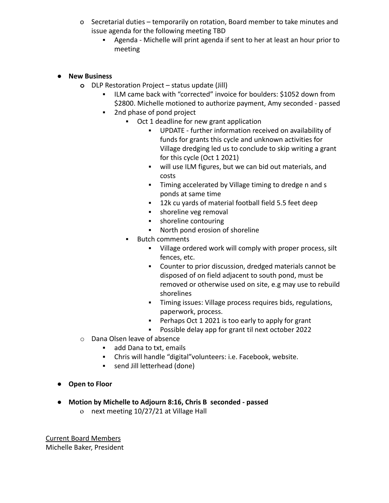- o Secretarial duties temporarily on rotation, Board member to take minutes and issue agenda for the following meeting TBD
	- Agenda Michelle will print agenda if sent to her at least an hour prior to meeting

#### **● New Business**

- **o** DLP Restoration Project status update (Jill)
	- ILM came back with "corrected" invoice for boulders: \$1052 down from \$2800. Michelle motioned to authorize payment, Amy seconded - passed
	- 2nd phase of pond project
		- Oct 1 deadline for new grant application
			- UPDATE further information received on availability of funds for grants this cycle and unknown activities for Village dredging led us to conclude to skip writing a grant for this cycle (Oct 1 2021)
			- will use ILM figures, but we can bid out materials, and costs
			- **·** Timing accelerated by Village timing to dredge n and s ponds at same time
			- 12k cu yards of material football field 5.5 feet deep
			- **Exercise** shoreline veg removal
			- **•** shoreline contouring
			- North pond erosion of shoreline
		- Butch comments
			- Village ordered work will comply with proper process, silt fences, etc.
			- Counter to prior discussion, dredged materials cannot be disposed of on field adjacent to south pond, must be removed or otherwise used on site, e.g may use to rebuild shorelines
			- Timing issues: Village process requires bids, regulations, paperwork, process.
			- Perhaps Oct 1 2021 is too early to apply for grant
			- Possible delay app for grant til next october 2022
- o Dana Olsen leave of absence
	- add Dana to txt, emails
	- Chris will handle "digital"volunteers: i.e. Facebook, website.
	- send Jill letterhead (done)
- **● Open to Floor**
- **Motion by Michelle to Adjourn 8:16, Chris B seconded passed**
	- o next meeting 10/27/21 at Village Hall

Current Board Members Michelle Baker, President